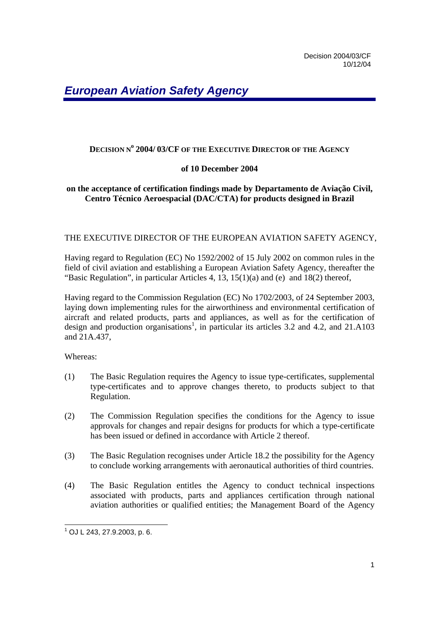# **DECISION N<sup>o</sup> 2004/ 03/CF OF THE EXECUTIVE DIRECTOR OF THE AGENCY**

# **of 10 December 2004**

# **on the acceptance of certification findings made by Departamento de Aviação Civil, Centro Técnico Aeroespacial (DAC/CTA) for products designed in Brazil**

#### THE EXECUTIVE DIRECTOR OF THE EUROPEAN AVIATION SAFETY AGENCY,

Having regard to Regulation (EC) No 1592/2002 of 15 July 2002 on common rules in the field of civil aviation and establishing a European Aviation Safety Agency, thereafter the "Basic Regulation", in particular Articles 4, 13, 15(1)(a) and (e) and 18(2) thereof,

Having regard to the Commission Regulation (EC) No 1702/2003, of 24 September 2003, laying down implementing rules for the airworthiness and environmental certification of aircraft and related products, parts and appliances, as well as for the certification of design and production organisations<sup>1</sup>, in particular its articles 3.2 and 4.2, and 21.A103 and 21A.437,

Whereas:

- (1) The Basic Regulation requires the Agency to issue type-certificates, supplemental type-certificates and to approve changes thereto, to products subject to that Regulation.
- (2) The Commission Regulation specifies the conditions for the Agency to issue approvals for changes and repair designs for products for which a type-certificate has been issued or defined in accordance with Article 2 thereof.
- (3) The Basic Regulation recognises under Article 18.2 the possibility for the Agency to conclude working arrangements with aeronautical authorities of third countries.
- (4) The Basic Regulation entitles the Agency to conduct technical inspections associated with products, parts and appliances certification through national aviation authorities or qualified entities; the Management Board of the Agency

 1 OJ L 243, 27.9.2003, p. 6.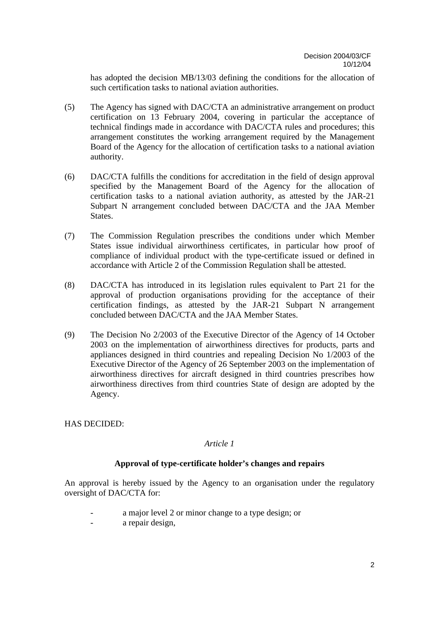has adopted the decision MB/13/03 defining the conditions for the allocation of such certification tasks to national aviation authorities.

- (5) The Agency has signed with DAC/CTA an administrative arrangement on product certification on 13 February 2004, covering in particular the acceptance of technical findings made in accordance with DAC/CTA rules and procedures; this arrangement constitutes the working arrangement required by the Management Board of the Agency for the allocation of certification tasks to a national aviation authority.
- (6) DAC/CTA fulfills the conditions for accreditation in the field of design approval specified by the Management Board of the Agency for the allocation of certification tasks to a national aviation authority, as attested by the JAR-21 Subpart N arrangement concluded between DAC/CTA and the JAA Member States.
- (7) The Commission Regulation prescribes the conditions under which Member States issue individual airworthiness certificates, in particular how proof of compliance of individual product with the type-certificate issued or defined in accordance with Article 2 of the Commission Regulation shall be attested.
- (8) DAC/CTA has introduced in its legislation rules equivalent to Part 21 for the approval of production organisations providing for the acceptance of their certification findings, as attested by the JAR-21 Subpart N arrangement concluded between DAC/CTA and the JAA Member States.
- (9) The Decision No 2/2003 of the Executive Director of the Agency of 14 October 2003 on the implementation of airworthiness directives for products, parts and appliances designed in third countries and repealing Decision No 1/2003 of the Executive Director of the Agency of 26 September 2003 on the implementation of airworthiness directives for aircraft designed in third countries prescribes how airworthiness directives from third countries State of design are adopted by the Agency.

# HAS DECIDED:

# *Article 1*

# **Approval of type-certificate holder's changes and repairs**

An approval is hereby issued by the Agency to an organisation under the regulatory oversight of DAC/CTA for:

- a major level 2 or minor change to a type design; or
- a repair design,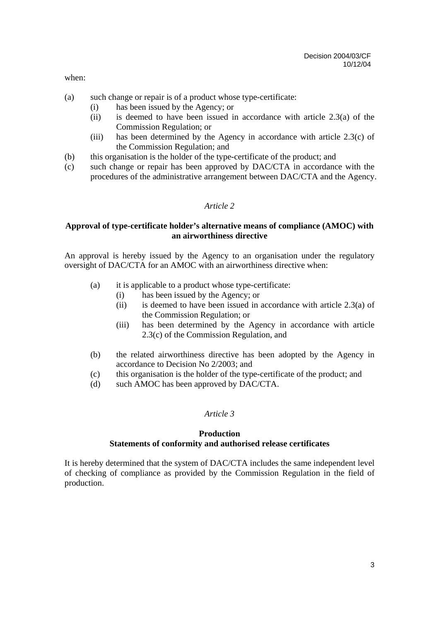when:

- (a) such change or repair is of a product whose type-certificate:
	- (i) has been issued by the Agency; or
	- (ii) is deemed to have been issued in accordance with article 2.3(a) of the Commission Regulation; or
	- (iii) has been determined by the Agency in accordance with article 2.3(c) of the Commission Regulation; and
- (b) this organisation is the holder of the type-certificate of the product; and
- (c) such change or repair has been approved by DAC/CTA in accordance with the procedures of the administrative arrangement between DAC/CTA and the Agency.

### *Article 2*

### **Approval of type-certificate holder's alternative means of compliance (AMOC) with an airworthiness directive**

An approval is hereby issued by the Agency to an organisation under the regulatory oversight of DAC/CTA for an AMOC with an airworthiness directive when:

- (a) it is applicable to a product whose type-certificate:
	- (i) has been issued by the Agency; or
	- (ii) is deemed to have been issued in accordance with article 2.3(a) of the Commission Regulation; or
	- (iii) has been determined by the Agency in accordance with article 2.3(c) of the Commission Regulation, and
- (b) the related airworthiness directive has been adopted by the Agency in accordance to Decision No 2/2003; and
- (c) this organisation is the holder of the type-certificate of the product; and
- (d) such AMOC has been approved by DAC/CTA.

# *Article 3*

### **Production Statements of conformity and authorised release certificates**

It is hereby determined that the system of DAC/CTA includes the same independent level of checking of compliance as provided by the Commission Regulation in the field of production.